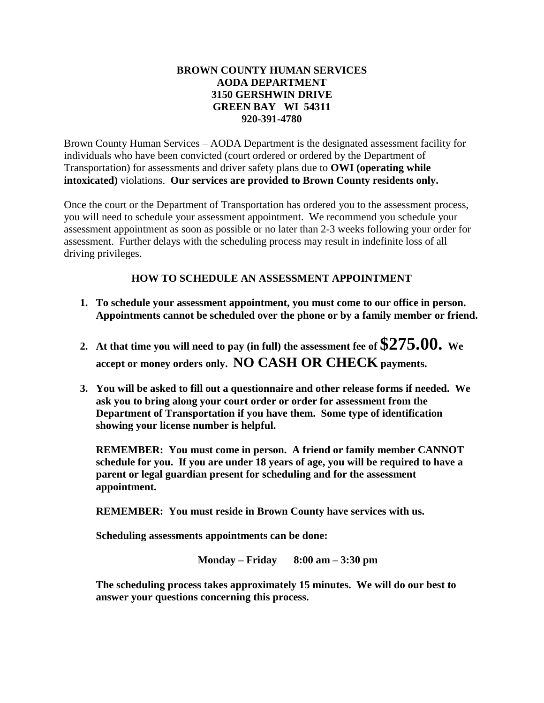## **BROWN COUNTY HUMAN SERVICES AODA DEPARTMENT 3150 GERSHWIN DRIVE GREEN BAY WI 54311 920-391-4780**

Brown County Human Services – AODA Department is the designated assessment facility for individuals who have been convicted (court ordered or ordered by the Department of Transportation) for assessments and driver safety plans due to **OWI (operating while intoxicated)** violations. **Our services are provided to Brown County residents only.**

Once the court or the Department of Transportation has ordered you to the assessment process, you will need to schedule your assessment appointment. We recommend you schedule your assessment appointment as soon as possible or no later than 2-3 weeks following your order for assessment. Further delays with the scheduling process may result in indefinite loss of all driving privileges.

## **HOW TO SCHEDULE AN ASSESSMENT APPOINTMENT**

- **1. To schedule your assessment appointment, you must come to our office in person. Appointments cannot be scheduled over the phone or by a family member or friend.**
- **2. At that time you will need to pay (in full) the assessment fee of \$275.00. We accept or money orders only. NO CASH OR CHECK payments.**
- **3. You will be asked to fill out a questionnaire and other release forms if needed. We ask you to bring along your court order or order for assessment from the Department of Transportation if you have them. Some type of identification showing your license number is helpful.**

**REMEMBER: You must come in person. A friend or family member CANNOT schedule for you. If you are under 18 years of age, you will be required to have a parent or legal guardian present for scheduling and for the assessment appointment.**

**REMEMBER: You must reside in Brown County have services with us.**

**Scheduling assessments appointments can be done:**

**Monday – Friday 8:00 am – 3:30 pm**

**The scheduling process takes approximately 15 minutes. We will do our best to answer your questions concerning this process.**